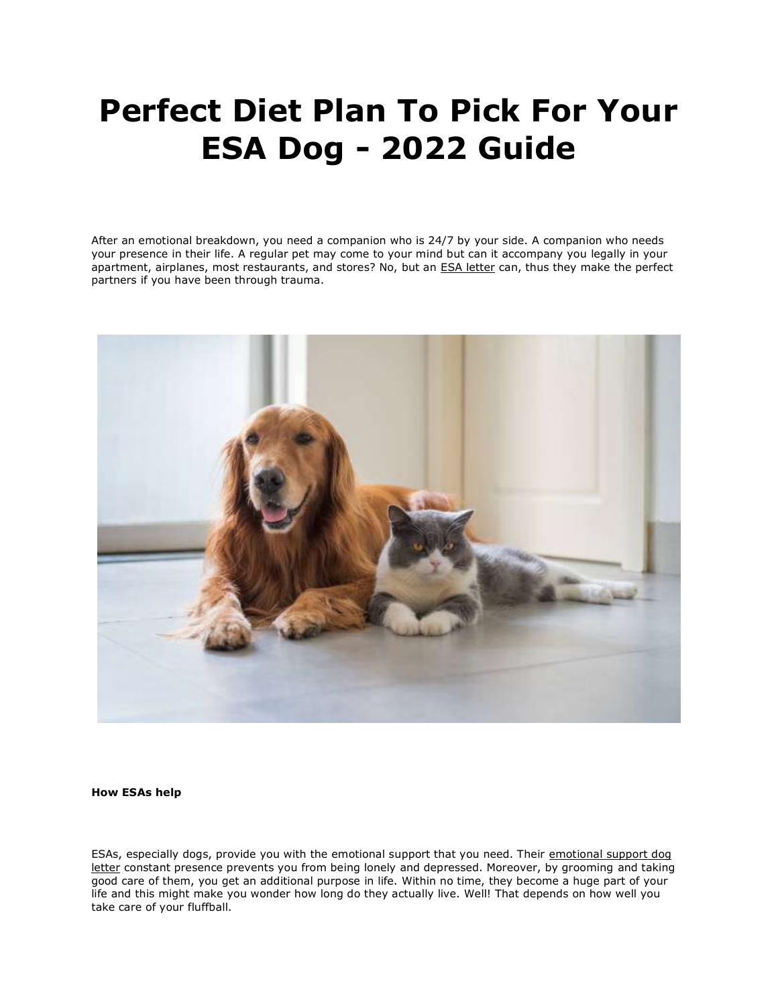# **Perfect Diet Plan To Pick For Your ESA Dog - 2022 Guide**

After an emotional breakdown, you need a companion who is 24/7 by your side. A companion who needs your presence in their life. A regular pet may come to your mind but can it accompany you legally in your apartment, airplanes, most restaurants, and stores? No, but an [ESA letter](https://www.realesaletter.com/sample-esa-letter) can, thus they make the perfect partners if you have been through trauma.



**How ESAs help**

ESAs, especially dogs, provide you with the emotional support that you need. Their [emotional support dog](https://www.realesaletter.com/sample-esa-letter)  [letter](https://www.realesaletter.com/sample-esa-letter) constant presence prevents you from being lonely and depressed. Moreover, by grooming and taking good care of them, you get an additional purpose in life. Within no time, they become a huge part of your life and this might make you wonder how long do they actually live. Well! That depends on how well you take care of your fluffball.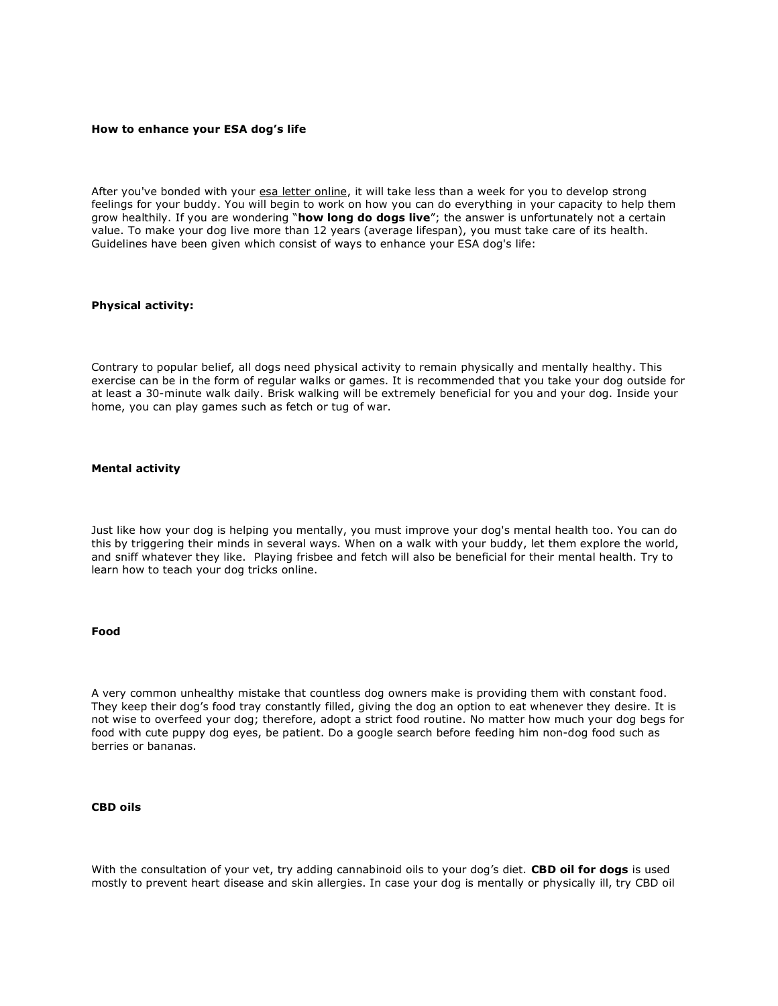#### **How to enhance your ESA dog's life**

After you've bonded with your [esa letter online,](https://www.realesaletter.com/sample-esa-letter) it will take less than a week for you to develop strong feelings for your buddy. You will begin to work on how you can do everything in your capacity to help them grow healthily. If you are wondering "**how long do dogs live**"; the answer is unfortunately not a certain value. To make your dog live more than 12 years (average lifespan), you must take care of its health. Guidelines have been given which consist of ways to enhance your ESA dog's life:

## **Physical activity:**

Contrary to popular belief, all dogs need physical activity to remain physically and mentally healthy. This exercise can be in the form of regular walks or games. It is recommended that you take your dog outside for at least a 30-minute walk daily. Brisk walking will be extremely beneficial for you and your dog. Inside your home, you can play games such as fetch or tug of war.

#### **Mental activity**

Just like how your dog is helping you mentally, you must improve your dog's mental health too. You can do this by triggering their minds in several ways. When on a walk with your buddy, let them explore the world, and sniff whatever they like. Playing frisbee and fetch will also be beneficial for their mental health. Try to learn how to teach your dog tricks online.

#### **Food**

A very common unhealthy mistake that countless dog owners make is providing them with constant food. They keep their dog's food tray constantly filled, giving the dog an option to eat whenever they desire. It is not wise to overfeed your dog; therefore, adopt a strict food routine. No matter how much your dog begs for food with cute puppy dog eyes, be patient. Do a google search before feeding him non-dog food such as berries or bananas.

## **CBD oils**

With the consultation of your vet, try adding cannabinoid oils to your dog's diet. **CBD oil for dogs** is used mostly to prevent heart disease and skin allergies. In case your dog is mentally or physically ill, try CBD oil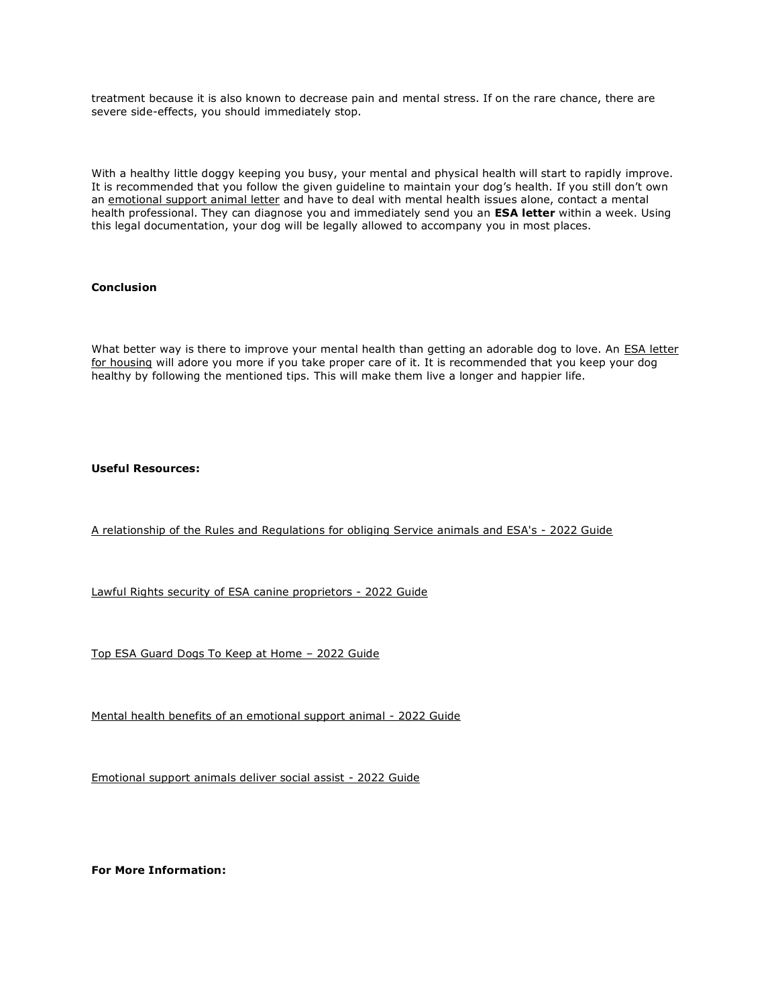treatment because it is also known to decrease pain and mental stress. If on the rare chance, there are severe side-effects, you should immediately stop.

With a healthy little doggy keeping you busy, your mental and physical health will start to rapidly improve. It is recommended that you follow the given guideline to maintain your dog's health. If you still don't own an [emotional support animal letter](https://www.realesaletter.com/sample-esa-letter) and have to deal with mental health issues alone, contact a mental health professional. They can diagnose you and immediately send you an **ESA letter** within a week. Using this legal documentation, your dog will be legally allowed to accompany you in most places.

# **Conclusion**

What better way is there to improve your mental health than getting an adorable dog to love. An **ESA letter** [for housing](https://www.realesaletter.com/sample-esa-letter) will adore you more if you take proper care of it. It is recommended that you keep your dog healthy by following the mentioned tips. This will make them live a longer and happier life.

# **Useful Resources:**

[A relationship of the Rules and Regulations for obliging Service animals and ESA's -](https://www.dfwmas.org/community/profile/richardcarlson/) 2022 Guide

[Lawful Rights security of ESA canine proprietors -](https://www.dfwmas.org/community/profile/davidandrew/) 2022 Guide

[Top ESA Guard Dogs To Keep at Home](https://www.autoappassionati.it/members/richardcarlson/profile/classic/) – 2022 Guide

[Mental health benefits of an emotional support animal -](https://www.autoappassionati.it/members/davidandrew/profile/classic/) 2022 Guide

[Emotional support animals deliver social assist -](https://wperp.com/users/richardcarlson/) 2022 Guide

**For More Information:**